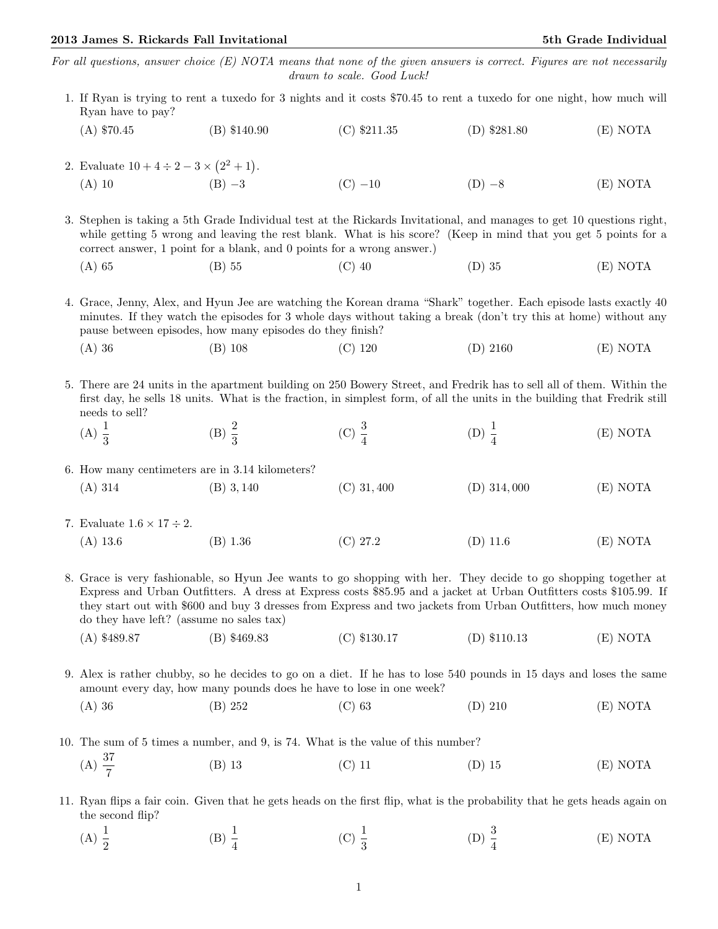## 2013 James S. Rickards Fall Invitational 5th Grade Individual 5th Grade Individual

For all questions, answer choice  $(E)$  NOTA means that none of the given answers is correct. Figures are not necessarily drawn to scale. Good Luck!

- 1. If Ryan is trying to rent a tuxedo for 3 nights and it costs \$70.45 to rent a tuxedo for one night, how much will Ryan have to pay?
	- (A) \$70.45 (B) \$140.90 (C) \$211.35 (D) \$281.80 (E) NOTA
- 2. Evaluate  $10 + 4 \div 2 3 \times (2^2 + 1)$ . (A) 10 (B) −3 (C) −10 (D) −8 (E) NOTA

3. Stephen is taking a 5th Grade Individual test at the Rickards Invitational, and manages to get 10 questions right, while getting 5 wrong and leaving the rest blank. What is his score? (Keep in mind that you get 5 points for a correct answer, 1 point for a blank, and 0 points for a wrong answer.)

(A) 65 (B) 55 (C) 40 (D) 35 (E) NOTA

4. Grace, Jenny, Alex, and Hyun Jee are watching the Korean drama "Shark" together. Each episode lasts exactly 40 minutes. If they watch the episodes for 3 whole days without taking a break (don't try this at home) without any pause between episodes, how many episodes do they finish?

(A) 36 (B) 108 (C) 120 (D) 2160 (E) NOTA

5. There are 24 units in the apartment building on 250 Bowery Street, and Fredrik has to sell all of them. Within the first day, he sells 18 units. What is the fraction, in simplest form, of all the units in the building that Fredrik still needs to sell?

(A)  $\frac{1}{3}$ (B)  $\frac{2}{3}$ (C)  $\frac{3}{4}$ (D)  $\frac{1}{4}$ (E) NOTA

6. How many centimeters are in 3.14 kilometers?

- (A) 314 (B) 3, 140 (C) 31, 400 (D) 314, 000 (E) NOTA
- 7. Evaluate  $1.6 \times 17 \div 2$ . (A) 13.6 (B) 1.36 (C) 27.2 (D) 11.6 (E) NOTA

8. Grace is very fashionable, so Hyun Jee wants to go shopping with her. They decide to go shopping together at Express and Urban Outfitters. A dress at Express costs \$85.95 and a jacket at Urban Outfitters costs \$105.99. If they start out with \$600 and buy 3 dresses from Express and two jackets from Urban Outfitters, how much money do they have left? (assume no sales tax)

- (A) \$489.87 (B) \$469.83 (C) \$130.17 (D) \$110.13 (E) NOTA
- 9. Alex is rather chubby, so he decides to go on a diet. If he has to lose 540 pounds in 15 days and loses the same amount every day, how many pounds does he have to lose in one week?
	- (A) 36 (B) 252 (C) 63 (D) 210 (E) NOTA

10. The sum of 5 times a number, and 9, is 74. What is the value of this number?

 $(A) \frac{37}{7}$ (B) 13 (C) 11 (D) 15 (E) NOTA

11. Ryan flips a fair coin. Given that he gets heads on the first flip, what is the probability that he gets heads again on the second flip?

(A)  $\frac{1}{2}$ (B)  $\frac{1}{4}$ (C)  $\frac{1}{3}$ (D)  $\frac{3}{4}$ (E) NOTA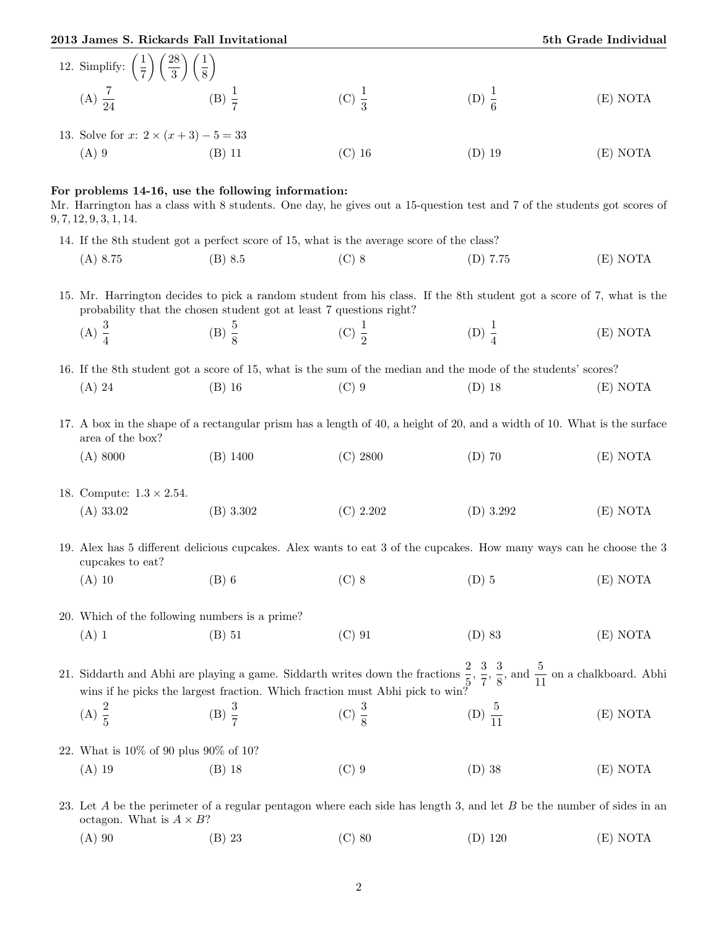2013 James S. Rickards Fall Invitational 5th Grade Individual 5th Grade Individual

| 12. Simplify: $\left(\frac{1}{7}\right)\left(\frac{28}{3}\right)\left(\frac{1}{8}\right)$                                                                                                                                                                                                                                        |                                                    |                                                                                                                          |                    |          |
|----------------------------------------------------------------------------------------------------------------------------------------------------------------------------------------------------------------------------------------------------------------------------------------------------------------------------------|----------------------------------------------------|--------------------------------------------------------------------------------------------------------------------------|--------------------|----------|
| (A) $\frac{7}{24}$ (B) $\frac{1}{7}$                                                                                                                                                                                                                                                                                             |                                                    | (C) $\frac{1}{3}$                                                                                                        | (D) $\frac{1}{6}$  | (E) NOTA |
| 13. Solve for $x: 2 \times (x+3) - 5 = 33$                                                                                                                                                                                                                                                                                       |                                                    |                                                                                                                          |                    |          |
| $(A)$ 9                                                                                                                                                                                                                                                                                                                          | $(B)$ 11                                           | $(C)$ 16                                                                                                                 | $(D)$ 19           | (E) NOTA |
| 9, 7, 12, 9, 3, 1, 14.                                                                                                                                                                                                                                                                                                           | For problems 14-16, use the following information: | Mr. Harrington has a class with 8 students. One day, he gives out a 15-question test and 7 of the students got scores of |                    |          |
|                                                                                                                                                                                                                                                                                                                                  |                                                    | 14. If the 8th student got a perfect score of 15, what is the average score of the class?                                |                    |          |
| $(A)$ 8.75                                                                                                                                                                                                                                                                                                                       | (B) 8.5                                            | $(C)$ 8                                                                                                                  | (D) 7.75           | (E) NOTA |
| 15. Mr. Harrington decides to pick a random student from his class. If the 8th student got a score of 7, what is the<br>probability that the chosen student got at least 7 questions right?                                                                                                                                      |                                                    |                                                                                                                          |                    |          |
| (A) $\frac{3}{4}$                                                                                                                                                                                                                                                                                                                | (B) $\frac{5}{8}$                                  | (C) $\frac{1}{2}$                                                                                                        | (D) $\frac{1}{4}$  | (E) NOTA |
|                                                                                                                                                                                                                                                                                                                                  |                                                    | 16. If the 8th student got a score of 15, what is the sum of the median and the mode of the students' scores?            |                    |          |
| $(A)$ 24                                                                                                                                                                                                                                                                                                                         | $(B)$ 16                                           | $(C)$ 9                                                                                                                  | $(D)$ 18           | (E) NOTA |
| 17. A box in the shape of a rectangular prism has a length of 40, a height of 20, and a width of 10. What is the surface<br>area of the box?                                                                                                                                                                                     |                                                    |                                                                                                                          |                    |          |
| (A) 8000                                                                                                                                                                                                                                                                                                                         | $(B)$ 1400                                         | (C) 2800                                                                                                                 | $(D)$ 70           | (E) NOTA |
| 18. Compute: $1.3 \times 2.54$ .                                                                                                                                                                                                                                                                                                 |                                                    |                                                                                                                          |                    |          |
| (A) 33.02                                                                                                                                                                                                                                                                                                                        | (B) 3.302                                          | (C) 2.202                                                                                                                | $(D)$ 3.292        | (E) NOTA |
| 19. Alex has 5 different delicious cupcakes. Alex wants to eat 3 of the cupcakes. How many ways can he choose the 3<br>cupcakes to eat?                                                                                                                                                                                          |                                                    |                                                                                                                          |                    |          |
| $(A)$ 10                                                                                                                                                                                                                                                                                                                         | $(B)$ 6                                            | $(C)$ 8                                                                                                                  | $(D)$ 5            | (E) NOTA |
| 20. Which of the following numbers is a prime?                                                                                                                                                                                                                                                                                   |                                                    |                                                                                                                          |                    |          |
| $(A)$ 1                                                                                                                                                                                                                                                                                                                          | $(B)$ 51                                           | $(C)$ 91                                                                                                                 | $(D)$ 83           | (E) NOTA |
| 21. Siddarth and Abhi are playing a game. Siddarth writes down the fractions $\frac{2}{5}$ , $\frac{3}{7}$ , $\frac{3}{8}$ , and $\frac{5}{11}$ on a chalkboard. Abhi wing if he picks the levent for the Window Street Company of the picket of<br>wins if he picks the largest fraction. Which fraction must Abhi pick to win? |                                                    |                                                                                                                          |                    |          |
| (A) $\frac{2}{5}$                                                                                                                                                                                                                                                                                                                | (B) $\frac{3}{7}$                                  | (C) $\frac{3}{8}$                                                                                                        | (D) $\frac{5}{11}$ | (E) NOTA |
| 22. What is $10\%$ of 90 plus 90% of 10?                                                                                                                                                                                                                                                                                         |                                                    |                                                                                                                          |                    |          |
| $(A)$ 19                                                                                                                                                                                                                                                                                                                         | $(B)$ 18                                           | $(C)$ 9                                                                                                                  | $(D)$ 38           | (E) NOTA |
| 23. Let A be the perimeter of a regular pentagon where each side has length 3, and let B be the number of sides in an<br>octagon. What is $A \times B?$                                                                                                                                                                          |                                                    |                                                                                                                          |                    |          |

(A) 90 (B) 23 (C) 80 (D) 120 (E) NOTA